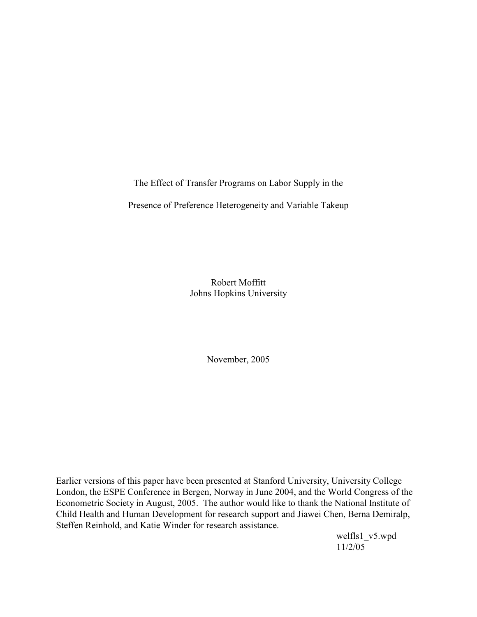The Effect of Transfer Programs on Labor Supply in the

Presence of Preference Heterogeneity and Variable Takeup

Robert Moffitt Johns Hopkins University

November, 2005

Earlier versions of this paper have been presented at Stanford University, University College London, the ESPE Conference in Bergen, Norway in June 2004, and the World Congress of the Econometric Society in August, 2005. The author would like to thank the National Institute of Child Health and Human Development for research support and Jiawei Chen, Berna Demiralp, Steffen Reinhold, and Katie Winder for research assistance.

welfls1\_v5.wpd 11/2/05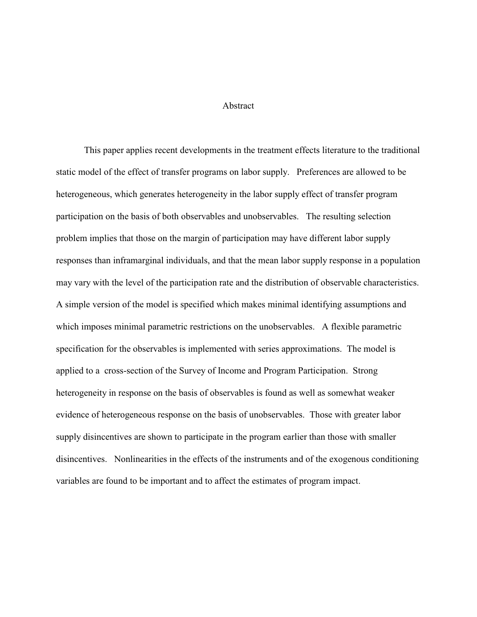#### Abstract

This paper applies recent developments in the treatment effects literature to the traditional static model of the effect of transfer programs on labor supply. Preferences are allowed to be heterogeneous, which generates heterogeneity in the labor supply effect of transfer program participation on the basis of both observables and unobservables. The resulting selection problem implies that those on the margin of participation may have different labor supply responses than inframarginal individuals, and that the mean labor supply response in a population may vary with the level of the participation rate and the distribution of observable characteristics. A simple version of the model is specified which makes minimal identifying assumptions and which imposes minimal parametric restrictions on the unobservables. A flexible parametric specification for the observables is implemented with series approximations. The model is applied to a cross-section of the Survey of Income and Program Participation. Strong heterogeneity in response on the basis of observables is found as well as somewhat weaker evidence of heterogeneous response on the basis of unobservables. Those with greater labor supply disincentives are shown to participate in the program earlier than those with smaller disincentives. Nonlinearities in the effects of the instruments and of the exogenous conditioning variables are found to be important and to affect the estimates of program impact.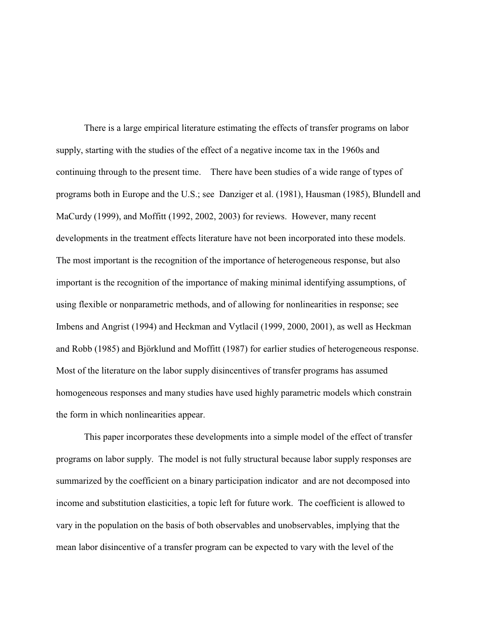There is a large empirical literature estimating the effects of transfer programs on labor supply, starting with the studies of the effect of a negative income tax in the 1960s and continuing through to the present time. There have been studies of a wide range of types of programs both in Europe and the U.S.; see Danziger et al. (1981), Hausman (1985), Blundell and MaCurdy (1999), and Moffitt (1992, 2002, 2003) for reviews. However, many recent developments in the treatment effects literature have not been incorporated into these models. The most important is the recognition of the importance of heterogeneous response, but also important is the recognition of the importance of making minimal identifying assumptions, of using flexible or nonparametric methods, and of allowing for nonlinearities in response; see Imbens and Angrist (1994) and Heckman and Vytlacil (1999, 2000, 2001), as well as Heckman and Robb (1985) and Björklund and Moffitt (1987) for earlier studies of heterogeneous response. Most of the literature on the labor supply disincentives of transfer programs has assumed homogeneous responses and many studies have used highly parametric models which constrain the form in which nonlinearities appear.

This paper incorporates these developments into a simple model of the effect of transfer programs on labor supply. The model is not fully structural because labor supply responses are summarized by the coefficient on a binary participation indicator and are not decomposed into income and substitution elasticities, a topic left for future work. The coefficient is allowed to vary in the population on the basis of both observables and unobservables, implying that the mean labor disincentive of a transfer program can be expected to vary with the level of the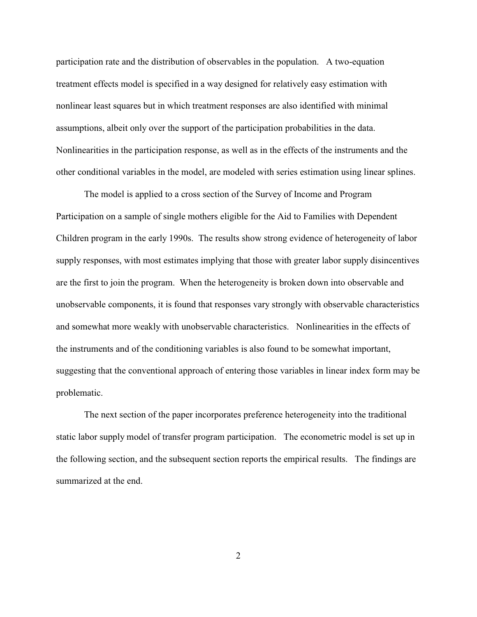participation rate and the distribution of observables in the population. A two-equation treatment effects model is specified in a way designed for relatively easy estimation with nonlinear least squares but in which treatment responses are also identified with minimal assumptions, albeit only over the support of the participation probabilities in the data. Nonlinearities in the participation response, as well as in the effects of the instruments and the other conditional variables in the model, are modeled with series estimation using linear splines.

The model is applied to a cross section of the Survey of Income and Program Participation on a sample of single mothers eligible for the Aid to Families with Dependent Children program in the early 1990s. The results show strong evidence of heterogeneity of labor supply responses, with most estimates implying that those with greater labor supply disincentives are the first to join the program. When the heterogeneity is broken down into observable and unobservable components, it is found that responses vary strongly with observable characteristics and somewhat more weakly with unobservable characteristics. Nonlinearities in the effects of the instruments and of the conditioning variables is also found to be somewhat important, suggesting that the conventional approach of entering those variables in linear index form may be problematic.

The next section of the paper incorporates preference heterogeneity into the traditional static labor supply model of transfer program participation. The econometric model is set up in the following section, and the subsequent section reports the empirical results. The findings are summarized at the end.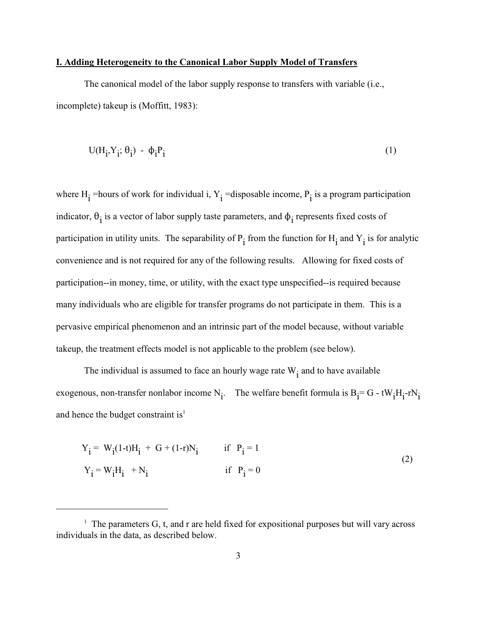#### **I. Adding Heterogeneity to the Canonical Labor Supply Model of Transfers**

The canonical model of the labor supply response to transfers with variable (i.e., incomplete) takeup is (Moffitt, 1983):

$$
U(H_i, Y_i; \theta_i) - \phi_i P_i \tag{1}
$$

where  $H_i$  =hours of work for individual i,  $Y_i$  =disposable income,  $P_i$  is a program participation indicator,  $\theta_i$  is a vector of labor supply taste parameters, and  $\phi_i$  represents fixed costs of participation in utility units. The separability of  $P_i$  from the function for  $H_i$  and  $Y_i$  is for analytic convenience and is not required for any of the following results. Allowing for fixed costs of participation--in money, time, or utility, with the exact type unspecified--is required because many individuals who are eligible for transfer programs do not participate in them. This is a pervasive empirical phenomenon and an intrinsic part of the model because, without variable takeup, the treatment effects model is not applicable to the problem (see below).

The individual is assumed to face an hourly wage rate  $W_i$  and to have available exogenous, non-transfer nonlabor income  $N_i$ . The welfare benefit formula is  $B_i = G - tW_iH_i - rN_i$ and hence the budget constraint is<sup>1</sup>

$$
Y_{i} = W_{i}(1-t)H_{i} + G + (1-r)N_{i} \t\t \text{if } P_{i} = 1
$$
  
\n
$$
Y_{i} = W_{i}H_{i} + N_{i} \t\t \text{if } P_{i} = 0
$$
  
\n(2)

<sup>&</sup>lt;sup>1</sup> The parameters G, t, and r are held fixed for expositional purposes but will vary across individuals in the data, as described below.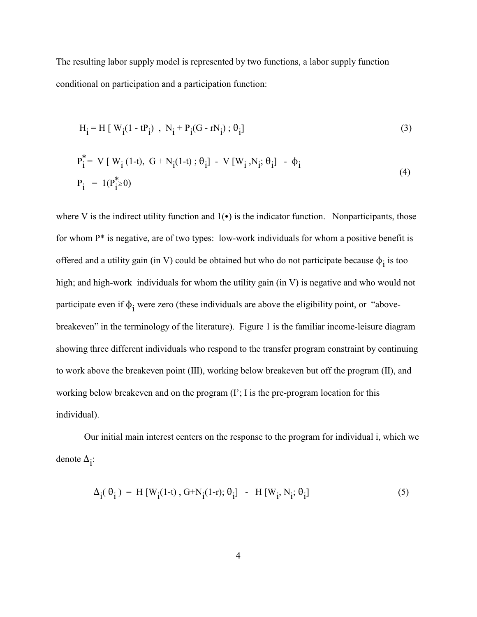The resulting labor supply model is represented by two functions, a labor supply function conditional on participation and a participation function:

$$
H_{i} = H [ W_{i}(1 - tP_{i}) , N_{i} + P_{i}(G - rN_{i}) ; \theta_{i}]
$$
\n(3)

$$
P_{i}^{*} = V [ W_{i} (1-t), G + N_{i} (1-t); \theta_{i}] - V [W_{i}, N_{i}; \theta_{i}] - \phi_{i}
$$
  
\n
$$
P_{i} = 1 (P_{i}^{*} \ge 0)
$$
\n(4)

where V is the indirect utility function and  $1(\bullet)$  is the indicator function. Nonparticipants, those for whom P\* is negative, are of two types: low-work individuals for whom a positive benefit is offered and a utility gain (in V) could be obtained but who do not participate because  $\phi_i$  is too high; and high-work individuals for whom the utility gain (in V) is negative and who would not participate even if  $\phi_i$  were zero (these individuals are above the eligibility point, or "abovebreakeven" in the terminology of the literature). Figure 1 is the familiar income-leisure diagram showing three different individuals who respond to the transfer program constraint by continuing to work above the breakeven point (III), working below breakeven but off the program (II), and working below breakeven and on the program  $(I^{\prime}; I^{\prime})$  is the pre-program location for this individual).

Our initial main interest centers on the response to the program for individual i, which we denote  $\Delta_i$ :

$$
\Delta_{\mathbf{i}}(\theta_{\mathbf{i}}) = H[W_{\mathbf{i}}(1-t), G+N_{\mathbf{i}}(1-r); \theta_{\mathbf{i}}] - H[W_{\mathbf{i}}, N_{\mathbf{i}}; \theta_{\mathbf{i}}]
$$
(5)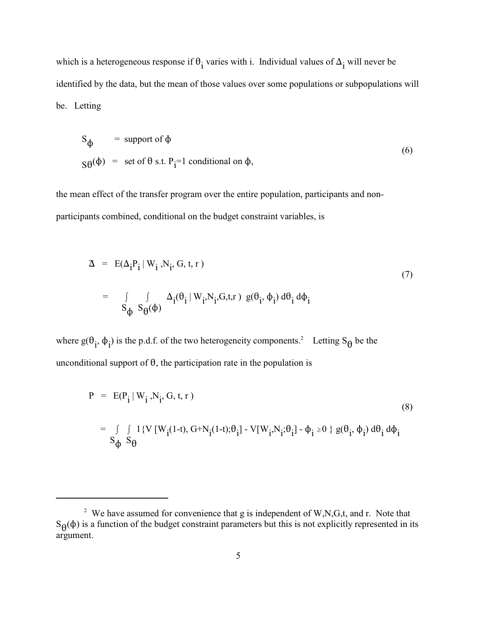which is a heterogeneous response if  $\theta_i$  varies with i. Individual values of  $\Delta_i$  will never be identified by the data, but the mean of those values over some populations or subpopulations will be. Letting

$$
S_{\phi} = \text{support of } \phi
$$
  
\n
$$
S_{\theta}(\phi) = \text{set of } \theta \text{ s.t. } P_{i} = 1 \text{ conditional on } \phi,
$$
\n(6)

the mean effect of the transfer program over the entire population, participants and nonparticipants combined, conditional on the budget constraint variables, is

$$
\Delta = E(\Delta_i P_i | W_i, N_i, G, t, r)
$$
  
= 
$$
\int_{S_{\phi}} \int_{S_{\theta}} \Delta_i(\theta_i | W_i, N_i, G, t, r) g(\theta_i, \phi_i) d\theta_i d\phi_i
$$
 (7)

where  $g(\theta_i, \phi_i)$  is the p.d.f. of the two heterogeneity components.<sup>2</sup> Letting S<sub> $\theta$ </sub> be the unconditional support of  $\theta$ , the participation rate in the population is

$$
P = E(P_i | W_i, N_i, G, t, r)
$$
\n
$$
= \int_{S_{\phi}} \int_{S_{\theta}} 1 \{ V[W_i(1-t), G+N_i(1-t); \theta_i] - V[W_i, N_i; \theta_i] - \phi_i \ge 0 \} g(\theta_i, \phi_i) d\theta_i d\phi_i
$$
\n(8)

<sup>&</sup>lt;sup>2</sup> We have assumed for convenience that g is independent of W,N,G,t, and r. Note that  $S_{\theta}(\phi)$  is a function of the budget constraint parameters but this is not explicitly represented in its argument.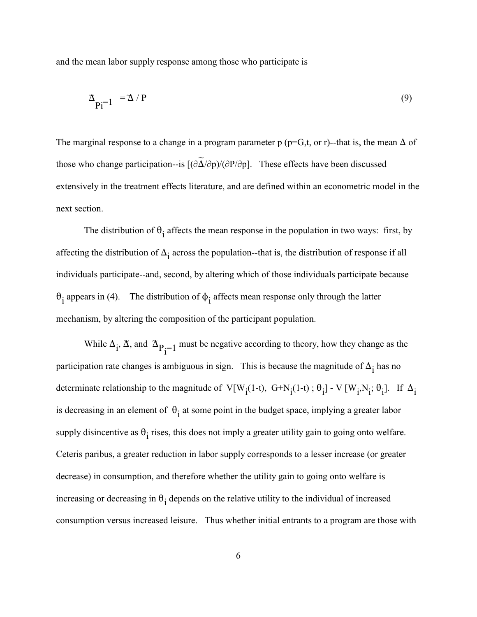and the mean labor supply response among those who participate is

$$
\Delta_{\mathbf{p_i} = 1} = \Delta / P \tag{9}
$$

The marginal response to a change in a program parameter p ( $p = G$ ,t, or r)--that is, the mean  $\Delta$  of ~ those who change participation--is  $[(\partial \Delta/\partial p)/(\partial P/\partial p)]$ . These effects have been discussed extensively in the treatment effects literature, and are defined within an econometric model in the next section.

The distribution of  $\theta_i$  affects the mean response in the population in two ways: first, by affecting the distribution of  $\Delta$ <sub>i</sub> across the population--that is, the distribution of response if all individuals participate--and, second, by altering which of those individuals participate because  $\theta_i$  appears in (4). The distribution of  $\phi_i$  affects mean response only through the latter mechanism, by altering the composition of the participant population.

While  $\Lambda$   $\Lambda$  and  $\Lambda$ While  $\Delta_i$ ,  $\Delta$ , and  $\Delta_{\mathbf{P}_i=1}$  must be negative according to theory, how they change as the participation rate changes is ambiguous in sign. This is because the magnitude of  $\Delta_i$  has no determinate relationship to the magnitude of  $V[W_j(1-t), G+N_j(1-t)$ ;  $\theta_j]$  - V  $[W_j, N_j; \theta_j]$ . If  $\Delta_j$ is decreasing in an element of  $\theta_i$  at some point in the budget space, implying a greater labor supply disincentive as  $\theta_i$  rises, this does not imply a greater utility gain to going onto welfare. Ceteris paribus, a greater reduction in labor supply corresponds to a lesser increase (or greater decrease) in consumption, and therefore whether the utility gain to going onto welfare is increasing or decreasing in  $\theta_i$  depends on the relative utility to the individual of increased consumption versus increased leisure. Thus whether initial entrants to a program are those with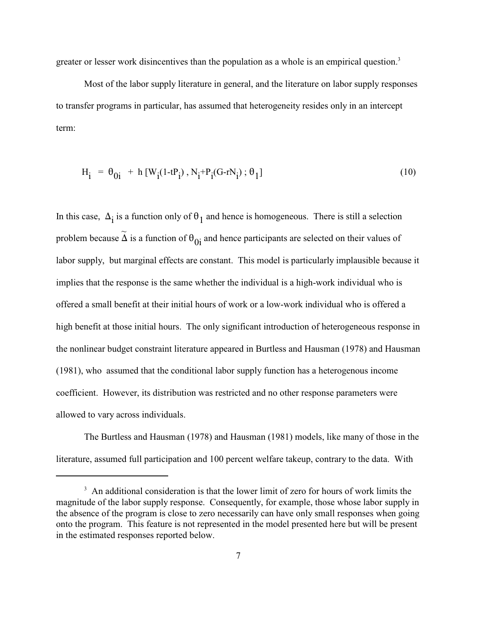greater or lesser work disincentives than the population as a whole is an empirical question.<sup>3</sup>

Most of the labor supply literature in general, and the literature on labor supply responses to transfer programs in particular, has assumed that heterogeneity resides only in an intercept term:

$$
H_{i} = \theta_{0i} + h[W_{i}(1-tP_{i}), N_{i}+P_{i}(G-rN_{i}); \theta_{1}]
$$
\n(10)

In this case,  $\Delta_i$  is a function only of  $\theta_1$  and hence is homogeneous. There is still a selection  $\sim$   $\sim$ problem because  $\Delta$  is a function of  $\theta_{0i}$  and hence participants are selected on their values of labor supply, but marginal effects are constant. This model is particularly implausible because it implies that the response is the same whether the individual is a high-work individual who is offered a small benefit at their initial hours of work or a low-work individual who is offered a high benefit at those initial hours. The only significant introduction of heterogeneous response in the nonlinear budget constraint literature appeared in Burtless and Hausman (1978) and Hausman (1981), who assumed that the conditional labor supply function has a heterogenous income coefficient. However, its distribution was restricted and no other response parameters were allowed to vary across individuals.

The Burtless and Hausman (1978) and Hausman (1981) models, like many of those in the literature, assumed full participation and 100 percent welfare takeup, contrary to the data. With

 $3$  An additional consideration is that the lower limit of zero for hours of work limits the magnitude of the labor supply response. Consequently, for example, those whose labor supply in the absence of the program is close to zero necessarily can have only small responses when going onto the program. This feature is not represented in the model presented here but will be present in the estimated responses reported below.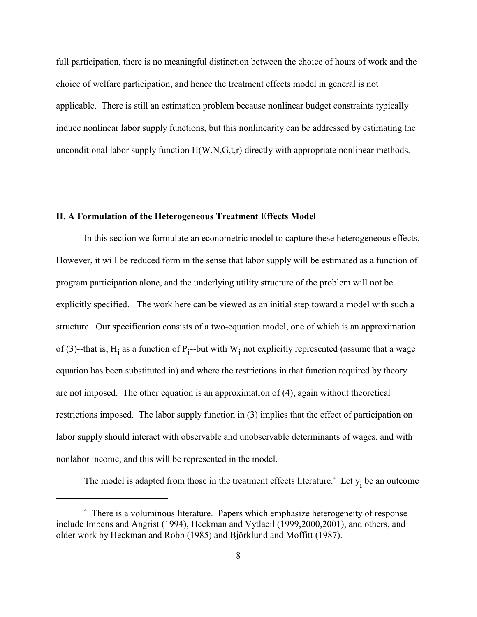full participation, there is no meaningful distinction between the choice of hours of work and the choice of welfare participation, and hence the treatment effects model in general is not applicable. There is still an estimation problem because nonlinear budget constraints typically induce nonlinear labor supply functions, but this nonlinearity can be addressed by estimating the unconditional labor supply function  $H(W, N, G, t, r)$  directly with appropriate nonlinear methods.

### **II. A Formulation of the Heterogeneous Treatment Effects Model**

In this section we formulate an econometric model to capture these heterogeneous effects. However, it will be reduced form in the sense that labor supply will be estimated as a function of program participation alone, and the underlying utility structure of the problem will not be explicitly specified. The work here can be viewed as an initial step toward a model with such a structure. Our specification consists of a two-equation model, one of which is an approximation of (3)--that is,  $H_i$  as a function of  $P_i$ --but with  $W_i$  not explicitly represented (assume that a wage equation has been substituted in) and where the restrictions in that function required by theory are not imposed. The other equation is an approximation of (4), again without theoretical restrictions imposed. The labor supply function in (3) implies that the effect of participation on labor supply should interact with observable and unobservable determinants of wages, and with nonlabor income, and this will be represented in the model.

The model is adapted from those in the treatment effects literature.<sup>4</sup> Let  $y_i$  be an outcome

<sup>&</sup>lt;sup>4</sup> There is a voluminous literature. Papers which emphasize heterogeneity of response include Imbens and Angrist (1994), Heckman and Vytlacil (1999,2000,2001), and others, and older work by Heckman and Robb (1985) and Björklund and Moffitt (1987).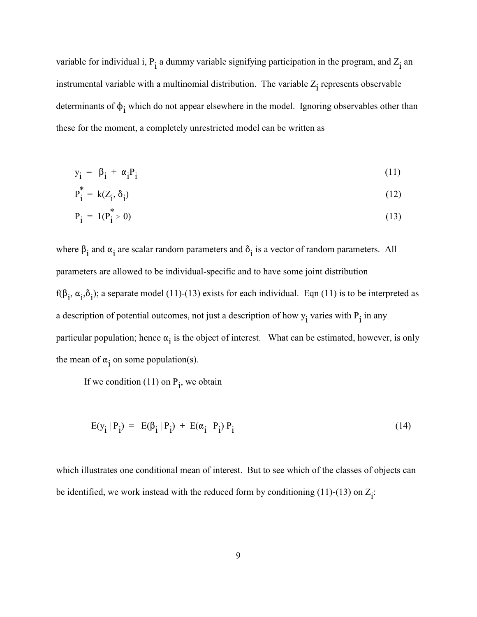variable for individual i,  $P_i$  a dummy variable signifying participation in the program, and  $Z_i$  an instrumental variable with a multinomial distribution. The variable  $Z_i$  represents observable determinants of  $\phi_i$  which do not appear elsewhere in the model. Ignoring observables other than these for the moment, a completely unrestricted model can be written as

$$
y_i = \beta_i + \alpha_i P_i \tag{11}
$$

$$
P_i^* = k(Z_i, \delta_i) \tag{12}
$$

$$
P_{i} = 1(P_{i}^{*} \ge 0) \tag{13}
$$

where  $\beta_i$  and  $\alpha_i$  are scalar random parameters and  $\delta_i$  is a vector of random parameters. All parameters are allowed to be individual-specific and to have some joint distribution  $f(\beta_j, \alpha_j, \delta_i)$ ; a separate model (11)-(13) exists for each individual. Eqn (11) is to be interpreted as a description of potential outcomes, not just a description of how  $y_i$  varies with  $P_i$  in any particular population; hence  $\alpha_i$  is the object of interest. What can be estimated, however, is only the mean of  $\alpha_i$  on some population(s).

If we condition  $(11)$  on  $P_i$ , we obtain

$$
E(y_i | P_i) = E(\beta_i | P_i) + E(\alpha_i | P_i) P_i
$$
\n(14)

which illustrates one conditional mean of interest. But to see which of the classes of objects can be identified, we work instead with the reduced form by conditioning  $(11)-(13)$  on  $Z_i$ :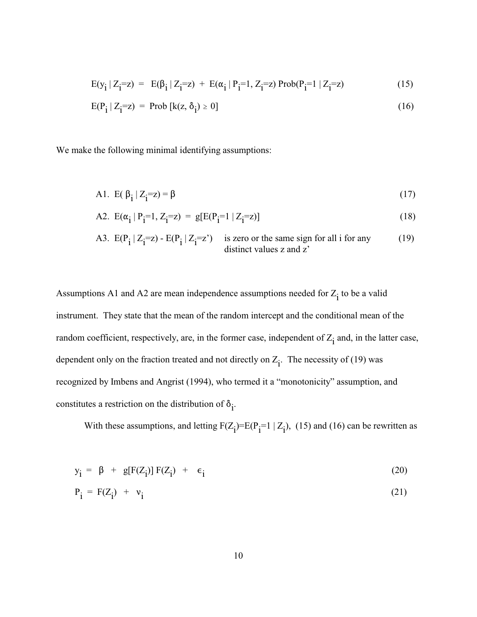$$
E(y_i | Z_i = z) = E(\beta_i | Z_i = z) + E(\alpha_i | P_i = 1, Z_i = z) Prob(P_i = 1 | Z_i = z)
$$
\n(15)

$$
E(P_i | Z_i = z) = Prob [k(z, \delta_i) \ge 0]
$$
\n(16)

We make the following minimal identifying assumptions:

A1. 
$$
E(\beta_i | Z_i = z) = \beta
$$
 (17)

A2. 
$$
E(\alpha_i | P_i=1, Z_i=z) = g[E(P_i=1 | Z_i=z)]
$$
 (18)

A3. 
$$
E(P_i | Z_i = z) - E(P_i | Z_i = z')
$$
 is zero or the same sign for all i for any  
distinct values z and z' (19)

Assumptions A1 and A2 are mean independence assumptions needed for  $Z_i$  to be a valid instrument. They state that the mean of the random intercept and the conditional mean of the random coefficient, respectively, are, in the former case, independent of Z<sub>i</sub> and, in the latter case, dependent only on the fraction treated and not directly on  $Z_i$ . The necessity of (19) was recognized by Imbens and Angrist (1994), who termed it a "monotonicity" assumption, and constitutes a restriction on the distribution of  $\delta_i$ .

With these assumptions, and letting  $F(Z_i)=E(P_i=1 | Z_i)$ , (15) and (16) can be rewritten as

$$
y_i = \beta + g[F(Z_i)]F(Z_i) + \epsilon_i
$$
 (20)

$$
P_i = F(Z_i) + v_i \tag{21}
$$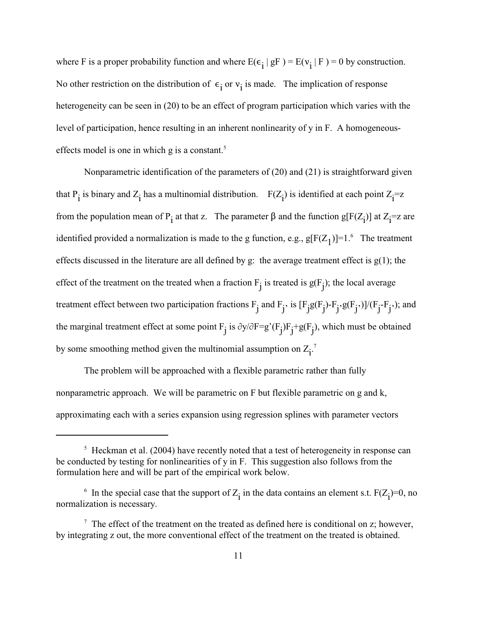where F is a proper probability function and where  $E(\epsilon_i | gF) = E(v_i | F) = 0$  by construction. No other restriction on the distribution of  $\epsilon_i$  or  $v_i$  is made. The implication of response heterogeneity can be seen in (20) to be an effect of program participation which varies with the level of participation, hence resulting in an inherent nonlinearity of y in F. A homogeneouseffects model is one in which g is a constant.<sup>5</sup>

Nonparametric identification of the parameters of (20) and (21) is straightforward given that P<sub>i</sub> is binary and Z<sub>i</sub> has a multinomial distribution.  $F(Z_i)$  is identified at each point Z<sub>i</sub>=z from the population mean of P<sub>i</sub> at that z. The parameter  $\beta$  and the function  $g[F(Z_i)]$  at  $Z_i = z$  are identified provided a normalization is made to the g function, e.g.,  $g[F(Z_1)]=1$ .<sup>6</sup> The treatment effects discussed in the literature are all defined by g: the average treatment effect is  $g(1)$ ; the effect of the treatment on the treated when a fraction  $F_j$  is treated is  $g(F_j)$ ; the local average treatment effect between two participation fractions  $F_j$  and  $F_j$ , is  $[F_j g(F_j) - F_j g(F_j)]/(F_j - F_j)$ ; and the marginal treatment effect at some point  $F_j$  is  $\partial y/\partial F = g'(F_j)F_j + g(F_j)$ , which must be obtained by some smoothing method given the multinomial assumption on  $Z_i$ .<sup>7</sup>

The problem will be approached with a flexible parametric rather than fully nonparametric approach. We will be parametric on F but flexible parametric on g and k, approximating each with a series expansion using regression splines with parameter vectors

 $\frac{1}{2}$  Heckman et al. (2004) have recently noted that a test of heterogeneity in response can be conducted by testing for nonlinearities of y in F. This suggestion also follows from the formulation here and will be part of the empirical work below.

<sup>&</sup>lt;sup>6</sup> In the special case that the support of  $Z_i$  in the data contains an element s.t.  $F(Z_i)=0$ , no normalization is necessary.

 $\sigma$  The effect of the treatment on the treated as defined here is conditional on z; however, by integrating z out, the more conventional effect of the treatment on the treated is obtained.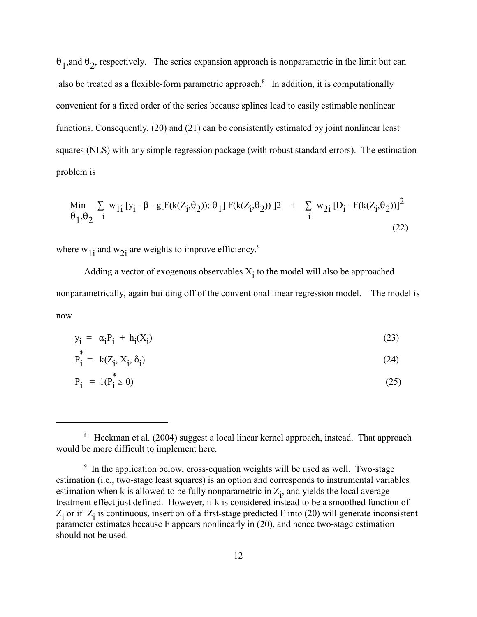$\theta_1$ , and  $\theta_2$ , respectively. The series expansion approach is nonparametric in the limit but can also be treated as a flexible-form parametric approach.<sup>8</sup> In addition, it is computationally convenient for a fixed order of the series because splines lead to easily estimable nonlinear functions. Consequently, (20) and (21) can be consistently estimated by joint nonlinear least squares (NLS) with any simple regression package (with robust standard errors). The estimation problem is

Min 
$$
\sum_{\theta_1, \theta_2}
$$
 w<sub>1i</sub> [y<sub>i</sub> -  $\beta$  - g[F(k(Z<sub>i</sub>, \theta<sub>2</sub>));  $\theta_1$ ] F(k(Z<sub>i</sub>, \theta<sub>2</sub>)) ]2 +  $\sum_{i}$  w<sub>2i</sub> [D<sub>i</sub> - F(k(Z<sub>i</sub>, \theta<sub>2</sub>))]<sup>2</sup> (22)

where  $w_{1i}$  and  $w_{2i}$  are weights to improve efficiency.<sup>9</sup>

Adding a vector of exogenous observables  $X_i$  to the model will also be approached nonparametrically, again building off of the conventional linear regression model. The model is now

$$
y_i = \alpha_i P_i + h_i(X_i) \tag{23}
$$

$$
P_i^* = k(Z_i, X_i, \delta_i) \tag{24}
$$

$$
P_{i} = 1(P_{i}^{*} \ge 0) \tag{25}
$$

<sup>&</sup>lt;sup>8</sup> Heckman et al. (2004) suggest a local linear kernel approach, instead. That approach would be more difficult to implement here.

 $9$  In the application below, cross-equation weights will be used as well. Two-stage estimation (i.e., two-stage least squares) is an option and corresponds to instrumental variables estimation when k is allowed to be fully nonparametric in  $Z_i$ , and yields the local average treatment effect just defined. However, if k is considered instead to be a smoothed function of  $Z_i$  or if  $Z_i$  is continuous, insertion of a first-stage predicted F into (20) will generate inconsistent parameter estimates because F appears nonlinearly in (20), and hence two-stage estimation should not be used.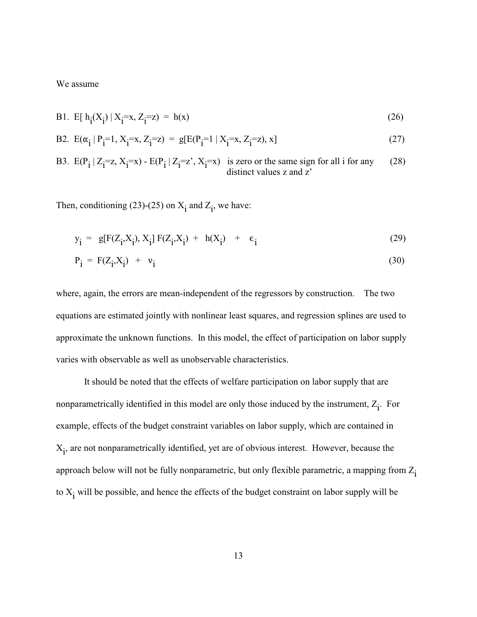We assume

B1. E[
$$
h_i(X_i) | X_i = x, Z_i = z
$$
) =  $h(x)$  (26)

B2. 
$$
E(\alpha_i | P_i=1, X_i=x, Z_i=z) = g[E(P_i=1 | X_i=x, Z_i=z), x]
$$
 (27)

B3. E(P<sub>i</sub> | Z<sub>i</sub>=z, X<sub>i</sub>=x) - E(P<sub>i</sub> | Z<sub>i</sub>=z', X<sub>i</sub>=x) is zero or the same sign for all i for any (28) distinct values z and z'

Then, conditioning (23)-(25) on  $X_i$  and  $Z_i$ , we have:

$$
y_{i} = g[F(Z_{i}, X_{i}), X_{i}] F(Z_{i}, X_{i}) + h(X_{i}) + \epsilon_{i}
$$
\n(29)

$$
P_i = F(Z_i, X_i) + v_i \tag{30}
$$

where, again, the errors are mean-independent of the regressors by construction. The two equations are estimated jointly with nonlinear least squares, and regression splines are used to approximate the unknown functions. In this model, the effect of participation on labor supply varies with observable as well as unobservable characteristics.

It should be noted that the effects of welfare participation on labor supply that are nonparametrically identified in this model are only those induced by the instrument, Z<sub>j</sub>. For example, effects of the budget constraint variables on labor supply, which are contained in  $X_i$ , are not nonparametrically identified, yet are of obvious interest. However, because the approach below will not be fully nonparametric, but only flexible parametric, a mapping from  $Z_i$ to  $X_i$  will be possible, and hence the effects of the budget constraint on labor supply will be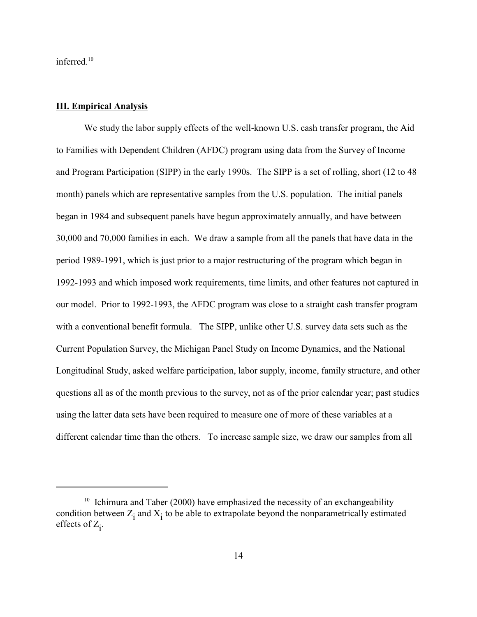inferred. 10

#### **III. Empirical Analysis**

We study the labor supply effects of the well-known U.S. cash transfer program, the Aid to Families with Dependent Children (AFDC) program using data from the Survey of Income and Program Participation (SIPP) in the early 1990s. The SIPP is a set of rolling, short (12 to 48 month) panels which are representative samples from the U.S. population. The initial panels began in 1984 and subsequent panels have begun approximately annually, and have between 30,000 and 70,000 families in each. We draw a sample from all the panels that have data in the period 1989-1991, which is just prior to a major restructuring of the program which began in 1992-1993 and which imposed work requirements, time limits, and other features not captured in our model. Prior to 1992-1993, the AFDC program was close to a straight cash transfer program with a conventional benefit formula. The SIPP, unlike other U.S. survey data sets such as the Current Population Survey, the Michigan Panel Study on Income Dynamics, and the National Longitudinal Study, asked welfare participation, labor supply, income, family structure, and other questions all as of the month previous to the survey, not as of the prior calendar year; past studies using the latter data sets have been required to measure one of more of these variables at a different calendar time than the others. To increase sample size, we draw our samples from all

 $10$  Ichimura and Taber (2000) have emphasized the necessity of an exchangeability condition between  $Z_i$  and  $X_i$  to be able to extrapolate beyond the nonparametrically estimated effects of  $Z_i$ .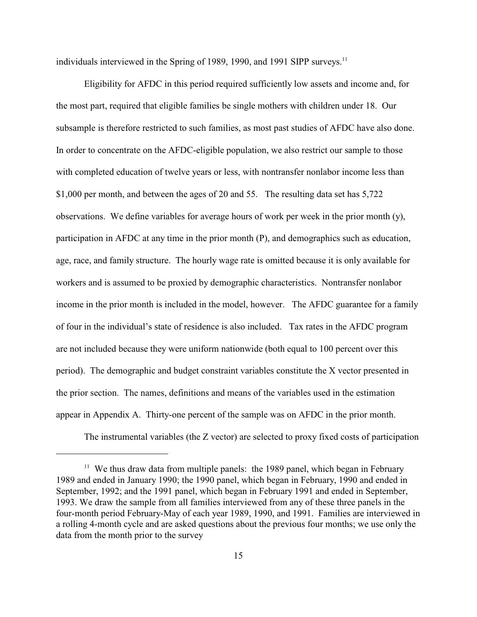individuals interviewed in the Spring of 1989, 1990, and 1991 SIPP surveys.<sup>11</sup>

Eligibility for AFDC in this period required sufficiently low assets and income and, for the most part, required that eligible families be single mothers with children under 18. Our subsample is therefore restricted to such families, as most past studies of AFDC have also done. In order to concentrate on the AFDC-eligible population, we also restrict our sample to those with completed education of twelve years or less, with nontransfer nonlabor income less than \$1,000 per month, and between the ages of 20 and 55. The resulting data set has 5,722 observations. We define variables for average hours of work per week in the prior month (y), participation in AFDC at any time in the prior month (P), and demographics such as education, age, race, and family structure. The hourly wage rate is omitted because it is only available for workers and is assumed to be proxied by demographic characteristics. Nontransfer nonlabor income in the prior month is included in the model, however. The AFDC guarantee for a family of four in the individual's state of residence is also included. Tax rates in the AFDC program are not included because they were uniform nationwide (both equal to 100 percent over this period). The demographic and budget constraint variables constitute the X vector presented in the prior section. The names, definitions and means of the variables used in the estimation appear in Appendix A. Thirty-one percent of the sample was on AFDC in the prior month.

The instrumental variables (the Z vector) are selected to proxy fixed costs of participation

<sup>&</sup>lt;sup>11</sup> We thus draw data from multiple panels: the 1989 panel, which began in February 1989 and ended in January 1990; the 1990 panel, which began in February, 1990 and ended in September, 1992; and the 1991 panel, which began in February 1991 and ended in September, 1993. We draw the sample from all families interviewed from any of these three panels in the four-month period February-May of each year 1989, 1990, and 1991. Families are interviewed in a rolling 4-month cycle and are asked questions about the previous four months; we use only the data from the month prior to the survey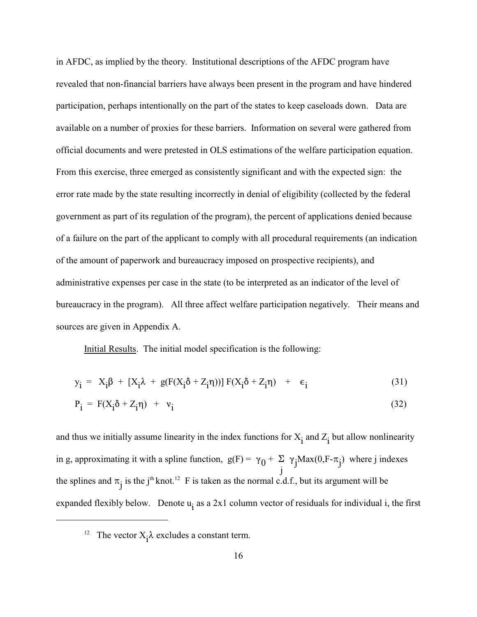in AFDC, as implied by the theory. Institutional descriptions of the AFDC program have revealed that non-financial barriers have always been present in the program and have hindered participation, perhaps intentionally on the part of the states to keep caseloads down. Data are available on a number of proxies for these barriers. Information on several were gathered from official documents and were pretested in OLS estimations of the welfare participation equation. From this exercise, three emerged as consistently significant and with the expected sign: the error rate made by the state resulting incorrectly in denial of eligibility (collected by the federal government as part of its regulation of the program), the percent of applications denied because of a failure on the part of the applicant to comply with all procedural requirements (an indication of the amount of paperwork and bureaucracy imposed on prospective recipients), and administrative expenses per case in the state (to be interpreted as an indicator of the level of bureaucracy in the program). All three affect welfare participation negatively. Their means and sources are given in Appendix A.

Initial Results. The initial model specification is the following:

$$
y_i = X_i \beta + [X_i \lambda + g(F(X_i \delta + Z_i \eta))] F(X_i \delta + Z_i \eta) + \epsilon_i
$$
\n(31)

$$
P_i = F(X_i \delta + Z_i \eta) + v_i \tag{32}
$$

and thus we initially assume linearity in the index functions for  $X_i$  and  $Z_i$  but allow nonlinearity in g, approximating it with a spline function,  $g(F) = \gamma_0 + \sum_j \gamma_j Max(0, F - \pi_j)$  where j indexes je poznata za obrazovanje po svetljenje predstavlja i predstavlja i predstavlja i predstavlja i predstavlja i<br>Dogodki the splines and  $\pi_j$  is the j<sup>th</sup> knot.<sup>12</sup> F is taken as the normal c.d.f., but its argument will be expanded flexibly below. Denote u<sub>i</sub> as a 2x1 column vector of residuals for individual i, the first

<sup>12</sup> The vector  $X_i \lambda$  excludes a constant term.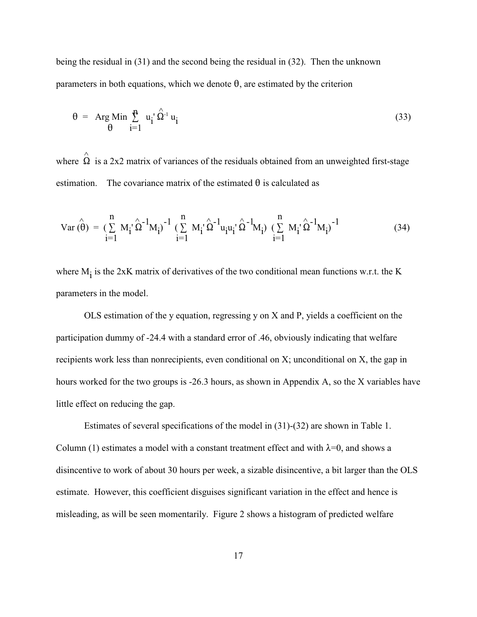being the residual in (31) and the second being the residual in (32). Then the unknown parameters in both equations, which we denote  $\theta$ , are estimated by the criterion

$$
\theta = \text{Arg Min} \sum_{i=1}^{n} u_i' \hat{\Omega}^{i} u_i
$$
\n(33)

where  $\hat{\Omega}$  is a 2x2 matrix of variances of the residuals obtained from an unweighted first-stage estimation. The covariance matrix of the estimated  $\theta$  is calculated as

$$
Var\ (\hat{\theta}) = (\sum_{i=1}^{n} M_{i} \hat{\Omega}^{-1} M_{i})^{-1} (\sum_{i=1}^{n} M_{i} \hat{\Omega}^{-1} u_{i} u_{i} \hat{\Omega}^{-1} M_{i}) (\sum_{i=1}^{n} M_{i} \hat{\Omega}^{-1} M_{i})^{-1}
$$
(34)

where  $M_i$  is the 2xK matrix of derivatives of the two conditional mean functions w.r.t. the K parameters in the model.

OLS estimation of the y equation, regressing y on X and P, yields a coefficient on the participation dummy of -24.4 with a standard error of .46, obviously indicating that welfare recipients work less than nonrecipients, even conditional on X; unconditional on X, the gap in hours worked for the two groups is -26.3 hours, as shown in Appendix A, so the X variables have little effect on reducing the gap.

Estimates of several specifications of the model in (31)-(32) are shown in Table 1. Column (1) estimates a model with a constant treatment effect and with  $\lambda=0$ , and shows a disincentive to work of about 30 hours per week, a sizable disincentive, a bit larger than the OLS estimate. However, this coefficient disguises significant variation in the effect and hence is misleading, as will be seen momentarily. Figure 2 shows a histogram of predicted welfare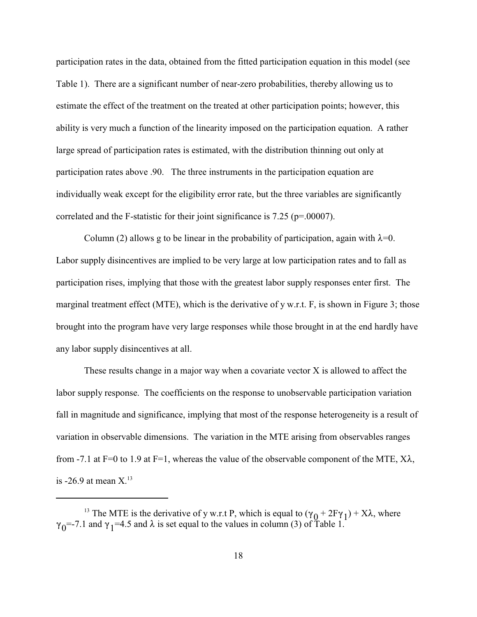participation rates in the data, obtained from the fitted participation equation in this model (see Table 1). There are a significant number of near-zero probabilities, thereby allowing us to estimate the effect of the treatment on the treated at other participation points; however, this ability is very much a function of the linearity imposed on the participation equation. A rather large spread of participation rates is estimated, with the distribution thinning out only at participation rates above .90. The three instruments in the participation equation are individually weak except for the eligibility error rate, but the three variables are significantly correlated and the F-statistic for their joint significance is 7.25 (p=.00007).

Column (2) allows g to be linear in the probability of participation, again with  $\lambda=0$ . Labor supply disincentives are implied to be very large at low participation rates and to fall as participation rises, implying that those with the greatest labor supply responses enter first. The marginal treatment effect (MTE), which is the derivative of y w.r.t. F, is shown in Figure 3; those brought into the program have very large responses while those brought in at the end hardly have any labor supply disincentives at all.

These results change in a major way when a covariate vector X is allowed to affect the labor supply response. The coefficients on the response to unobservable participation variation fall in magnitude and significance, implying that most of the response heterogeneity is a result of variation in observable dimensions. The variation in the MTE arising from observables ranges from -7.1 at F=0 to 1.9 at F=1, whereas the value of the observable component of the MTE,  $X\lambda$ , is  $-26.9$  at mean  $X<sup>13</sup>$ 

<sup>&</sup>lt;sup>13</sup> The MTE is the derivative of y w.r.t P, which is equal to  $(\gamma_0 + 2F\gamma_1) + X\lambda$ , where  $\gamma_0$ =-7.1 and  $\gamma_1$ =4.5 and  $\lambda$  is set equal to the values in column (3) of Table 1.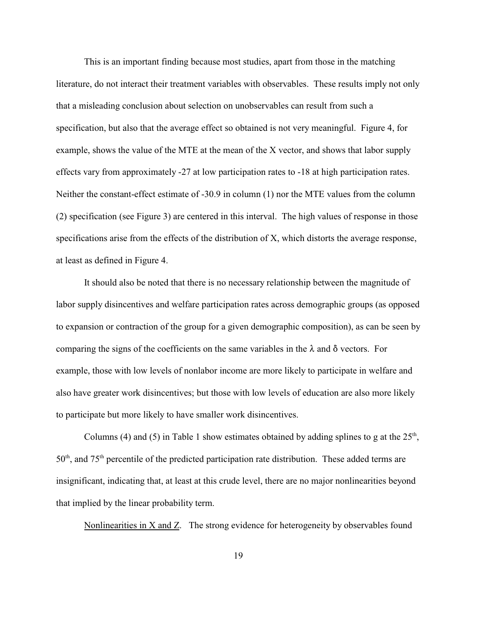This is an important finding because most studies, apart from those in the matching literature, do not interact their treatment variables with observables. These results imply not only that a misleading conclusion about selection on unobservables can result from such a specification, but also that the average effect so obtained is not very meaningful. Figure 4, for example, shows the value of the MTE at the mean of the X vector, and shows that labor supply effects vary from approximately -27 at low participation rates to -18 at high participation rates. Neither the constant-effect estimate of -30.9 in column (1) nor the MTE values from the column (2) specification (see Figure 3) are centered in this interval. The high values of response in those specifications arise from the effects of the distribution of X, which distorts the average response, at least as defined in Figure 4.

It should also be noted that there is no necessary relationship between the magnitude of labor supply disincentives and welfare participation rates across demographic groups (as opposed to expansion or contraction of the group for a given demographic composition), as can be seen by comparing the signs of the coefficients on the same variables in the  $\lambda$  and  $\delta$  vectors. For example, those with low levels of nonlabor income are more likely to participate in welfare and also have greater work disincentives; but those with low levels of education are also more likely to participate but more likely to have smaller work disincentives.

Columns (4) and (5) in Table 1 show estimates obtained by adding splines to g at the  $25<sup>th</sup>$ ,  $50<sup>th</sup>$ , and  $75<sup>th</sup>$  percentile of the predicted participation rate distribution. These added terms are insignificant, indicating that, at least at this crude level, there are no major nonlinearities beyond that implied by the linear probability term.

Nonlinearities in X and Z. The strong evidence for heterogeneity by observables found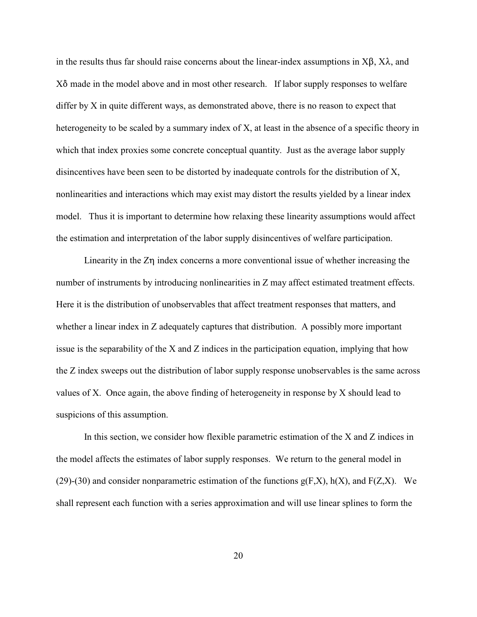in the results thus far should raise concerns about the linear-index assumptions in  $X\beta$ ,  $X\lambda$ , and  $X\delta$  made in the model above and in most other research. If labor supply responses to welfare differ by X in quite different ways, as demonstrated above, there is no reason to expect that heterogeneity to be scaled by a summary index of X, at least in the absence of a specific theory in which that index proxies some concrete conceptual quantity. Just as the average labor supply disincentives have been seen to be distorted by inadequate controls for the distribution of X, nonlinearities and interactions which may exist may distort the results yielded by a linear index model. Thus it is important to determine how relaxing these linearity assumptions would affect the estimation and interpretation of the labor supply disincentives of welfare participation.

Linearity in the  $Z\eta$  index concerns a more conventional issue of whether increasing the number of instruments by introducing nonlinearities in Z may affect estimated treatment effects. Here it is the distribution of unobservables that affect treatment responses that matters, and whether a linear index in Z adequately captures that distribution. A possibly more important issue is the separability of the X and Z indices in the participation equation, implying that how the Z index sweeps out the distribution of labor supply response unobservables is the same across values of X. Once again, the above finding of heterogeneity in response by X should lead to suspicions of this assumption.

In this section, we consider how flexible parametric estimation of the X and Z indices in the model affects the estimates of labor supply responses. We return to the general model in (29)-(30) and consider nonparametric estimation of the functions  $g(F,X)$ ,  $h(X)$ , and  $F(Z,X)$ . We shall represent each function with a series approximation and will use linear splines to form the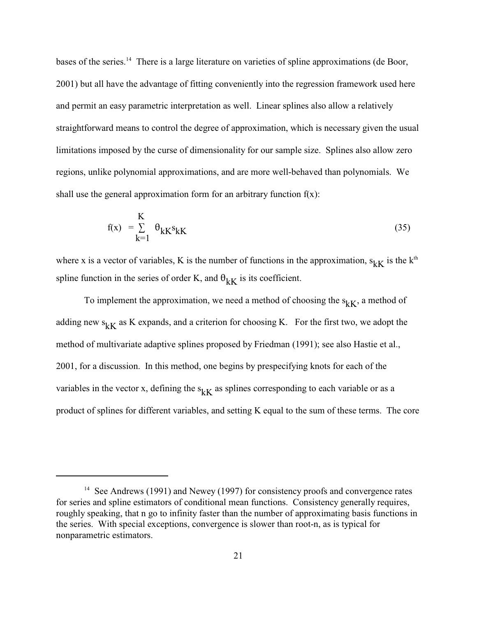bases of the series.<sup>14</sup> There is a large literature on varieties of spline approximations (de Boor, 2001) but all have the advantage of fitting conveniently into the regression framework used here and permit an easy parametric interpretation as well. Linear splines also allow a relatively straightforward means to control the degree of approximation, which is necessary given the usual limitations imposed by the curse of dimensionality for our sample size. Splines also allow zero regions, unlike polynomial approximations, and are more well-behaved than polynomials. We shall use the general approximation form for an arbitrary function  $f(x)$ :

$$
f(x) = \sum_{k=1}^{K} \theta_{kK} s_{kK}
$$
 (35)

where x is a vector of variables, K is the number of functions in the approximation,  $s_{kK}$  is the k<sup>th</sup> spline function in the series of order K, and  $\theta_{kK}$  is its coefficient.

To implement the approximation, we need a method of choosing the  $s_{kK}$ , a method of adding new  $s_{kK}$  as K expands, and a criterion for choosing K. For the first two, we adopt the method of multivariate adaptive splines proposed by Friedman (1991); see also Hastie et al., 2001, for a discussion. In this method, one begins by prespecifying knots for each of the variables in the vector x, defining the  $s_{kK}$  as splines corresponding to each variable or as a product of splines for different variables, and setting K equal to the sum of these terms. The core

<sup>&</sup>lt;sup>14</sup> See Andrews (1991) and Newey (1997) for consistency proofs and convergence rates for series and spline estimators of conditional mean functions. Consistency generally requires, roughly speaking, that n go to infinity faster than the number of approximating basis functions in the series. With special exceptions, convergence is slower than root-n, as is typical for nonparametric estimators.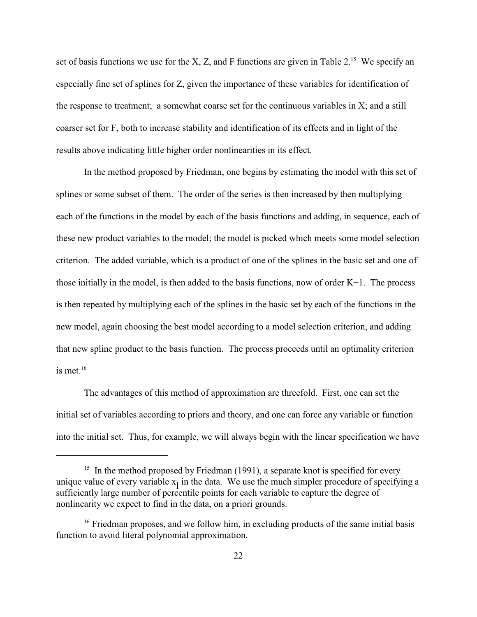set of basis functions we use for the X, Z, and F functions are given in Table 2.<sup>15</sup> We specify an especially fine set of splines for Z, given the importance of these variables for identification of the response to treatment; a somewhat coarse set for the continuous variables in X; and a still coarser set for F, both to increase stability and identification of its effects and in light of the results above indicating little higher order nonlinearities in its effect.

In the method proposed by Friedman, one begins by estimating the model with this set of splines or some subset of them. The order of the series is then increased by then multiplying each of the functions in the model by each of the basis functions and adding, in sequence, each of these new product variables to the model; the model is picked which meets some model selection criterion. The added variable, which is a product of one of the splines in the basic set and one of those initially in the model, is then added to the basis functions, now of order  $K+1$ . The process is then repeated by multiplying each of the splines in the basic set by each of the functions in the new model, again choosing the best model according to a model selection criterion, and adding that new spline product to the basis function. The process proceeds until an optimality criterion is met. $16$ 

The advantages of this method of approximation are threefold. First, one can set the initial set of variables according to priors and theory, and one can force any variable or function into the initial set. Thus, for example, we will always begin with the linear specification we have

 $15$  In the method proposed by Friedman (1991), a separate knot is specified for every unique value of every variable  $x_1$  in the data. We use the much simpler procedure of specifying a sufficiently large number of percentile points for each variable to capture the degree of nonlinearity we expect to find in the data, on a priori grounds.

 $16$  Friedman proposes, and we follow him, in excluding products of the same initial basis function to avoid literal polynomial approximation.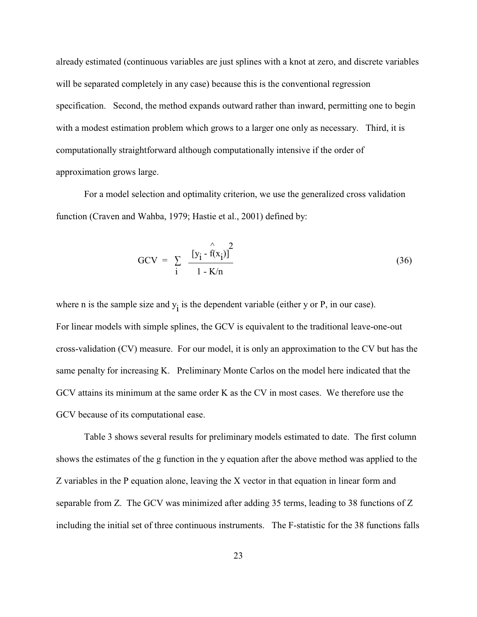already estimated (continuous variables are just splines with a knot at zero, and discrete variables will be separated completely in any case) because this is the conventional regression specification. Second, the method expands outward rather than inward, permitting one to begin with a modest estimation problem which grows to a larger one only as necessary. Third, it is computationally straightforward although computationally intensive if the order of approximation grows large.

For a model selection and optimality criterion, we use the generalized cross validation function (Craven and Wahba, 1979; Hastie et al., 2001) defined by:

$$
GCV = \sum_{i} \frac{[y_i - \hat{f}(x_i)]^2}{1 - K/n}
$$
 (36)

where n is the sample size and  $y_i$  is the dependent variable (either y or P, in our case). For linear models with simple splines, the GCV is equivalent to the traditional leave-one-out cross-validation (CV) measure. For our model, it is only an approximation to the CV but has the same penalty for increasing K. Preliminary Monte Carlos on the model here indicated that the GCV attains its minimum at the same order K as the CV in most cases. We therefore use the GCV because of its computational ease.

Table 3 shows several results for preliminary models estimated to date. The first column shows the estimates of the g function in the y equation after the above method was applied to the Z variables in the P equation alone, leaving the X vector in that equation in linear form and separable from Z. The GCV was minimized after adding 35 terms, leading to 38 functions of Z including the initial set of three continuous instruments. The F-statistic for the 38 functions falls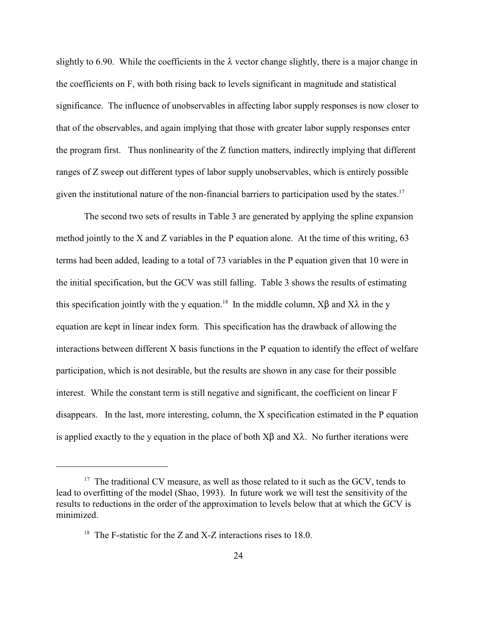slightly to 6.90. While the coefficients in the  $\lambda$  vector change slightly, there is a major change in the coefficients on F, with both rising back to levels significant in magnitude and statistical significance. The influence of unobservables in affecting labor supply responses is now closer to that of the observables, and again implying that those with greater labor supply responses enter the program first. Thus nonlinearity of the Z function matters, indirectly implying that different ranges of Z sweep out different types of labor supply unobservables, which is entirely possible given the institutional nature of the non-financial barriers to participation used by the states.<sup>17</sup>

The second two sets of results in Table 3 are generated by applying the spline expansion method jointly to the X and Z variables in the P equation alone. At the time of this writing, 63 terms had been added, leading to a total of 73 variables in the P equation given that 10 were in the initial specification, but the GCV was still falling. Table 3 shows the results of estimating this specification jointly with the y equation.<sup>18</sup> In the middle column,  $X\beta$  and  $X\lambda$  in the y equation are kept in linear index form. This specification has the drawback of allowing the interactions between different X basis functions in the P equation to identify the effect of welfare participation, which is not desirable, but the results are shown in any case for their possible interest. While the constant term is still negative and significant, the coefficient on linear F disappears. In the last, more interesting, column, the X specification estimated in the P equation is applied exactly to the y equation in the place of both  $X\beta$  and  $X\lambda$ . No further iterations were

 $17$  The traditional CV measure, as well as those related to it such as the GCV, tends to lead to overfitting of the model (Shao, 1993). In future work we will test the sensitivity of the results to reductions in the order of the approximation to levels below that at which the GCV is minimized.

<sup>&</sup>lt;sup>18</sup> The F-statistic for the Z and X-Z interactions rises to 18.0.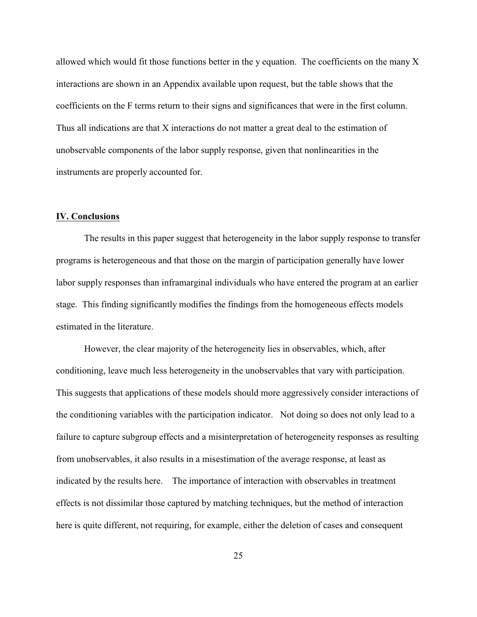allowed which would fit those functions better in the y equation. The coefficients on the many X interactions are shown in an Appendix available upon request, but the table shows that the coefficients on the F terms return to their signs and significances that were in the first column. Thus all indications are that X interactions do not matter a great deal to the estimation of unobservable components of the labor supply response, given that nonlinearities in the instruments are properly accounted for.

### **IV. Conclusions**

The results in this paper suggest that heterogeneity in the labor supply response to transfer programs is heterogeneous and that those on the margin of participation generally have lower labor supply responses than inframarginal individuals who have entered the program at an earlier stage. This finding significantly modifies the findings from the homogeneous effects models estimated in the literature.

However, the clear majority of the heterogeneity lies in observables, which, after conditioning, leave much less heterogeneity in the unobservables that vary with participation. This suggests that applications of these models should more aggressively consider interactions of the conditioning variables with the participation indicator. Not doing so does not only lead to a failure to capture subgroup effects and a misinterpretation of heterogeneity responses as resulting from unobservables, it also results in a misestimation of the average response, at least as indicated by the results here. The importance of interaction with observables in treatment effects is not dissimilar those captured by matching techniques, but the method of interaction here is quite different, not requiring, for example, either the deletion of cases and consequent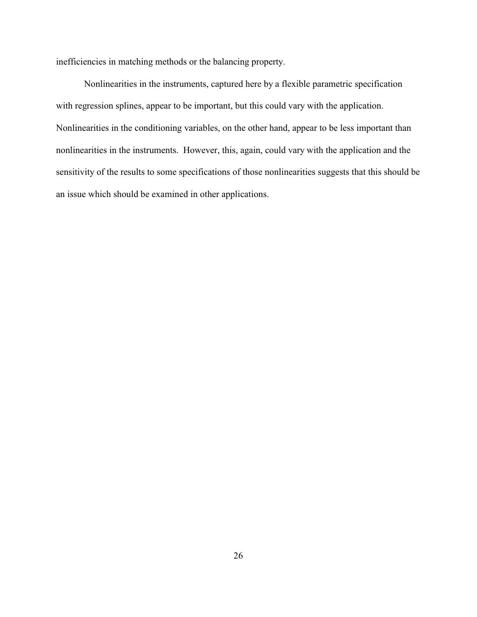inefficiencies in matching methods or the balancing property.

Nonlinearities in the instruments, captured here by a flexible parametric specification with regression splines, appear to be important, but this could vary with the application. Nonlinearities in the conditioning variables, on the other hand, appear to be less important than nonlinearities in the instruments. However, this, again, could vary with the application and the sensitivity of the results to some specifications of those nonlinearities suggests that this should be an issue which should be examined in other applications.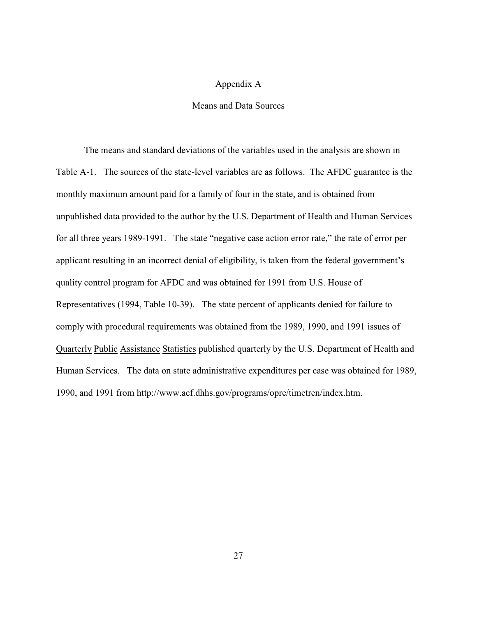### Appendix A

### Means and Data Sources

The means and standard deviations of the variables used in the analysis are shown in Table A-1. The sources of the state-level variables are as follows. The AFDC guarantee is the monthly maximum amount paid for a family of four in the state, and is obtained from unpublished data provided to the author by the U.S. Department of Health and Human Services for all three years 1989-1991. The state "negative case action error rate," the rate of error per applicant resulting in an incorrect denial of eligibility, is taken from the federal government's quality control program for AFDC and was obtained for 1991 from U.S. House of Representatives (1994, Table 10-39). The state percent of applicants denied for failure to comply with procedural requirements was obtained from the 1989, 1990, and 1991 issues of Quarterly Public Assistance Statistics published quarterly by the U.S. Department of Health and Human Services. The data on state administrative expenditures per case was obtained for 1989, 1990, and 1991 from http://www.acf.dhhs.gov/programs/opre/timetren/index.htm.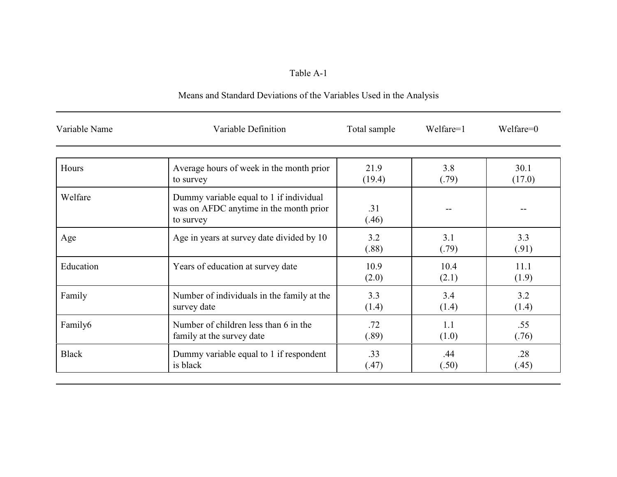# Table A-1

# Means and Standard Deviations of the Variables Used in the Analysis

| Variable Name | Variable Definition                                                                            | Total sample   | $Welfare=1$   | $Welfare=0$    |
|---------------|------------------------------------------------------------------------------------------------|----------------|---------------|----------------|
|               |                                                                                                |                |               |                |
| Hours         | Average hours of week in the month prior<br>to survey                                          | 21.9<br>(19.4) | 3.8<br>(.79)  | 30.1<br>(17.0) |
| Welfare       | Dummy variable equal to 1 if individual<br>was on AFDC anytime in the month prior<br>to survey | .31<br>(.46)   |               |                |
| Age           | Age in years at survey date divided by 10                                                      | 3.2<br>(.88)   | 3.1<br>(.79)  | 3.3<br>(.91)   |
| Education     | Years of education at survey date                                                              | 10.9<br>(2.0)  | 10.4<br>(2.1) | 11.1<br>(1.9)  |
| Family        | Number of individuals in the family at the<br>survey date                                      | 3.3<br>(1.4)   | 3.4<br>(1.4)  | 3.2<br>(1.4)   |
| Family6       | Number of children less than 6 in the<br>family at the survey date                             | .72<br>(.89)   | 1.1<br>(1.0)  | .55<br>(.76)   |
| <b>Black</b>  | Dummy variable equal to 1 if respondent<br>is black                                            | .33<br>(.47)   | .44<br>(.50)  | .28<br>(.45)   |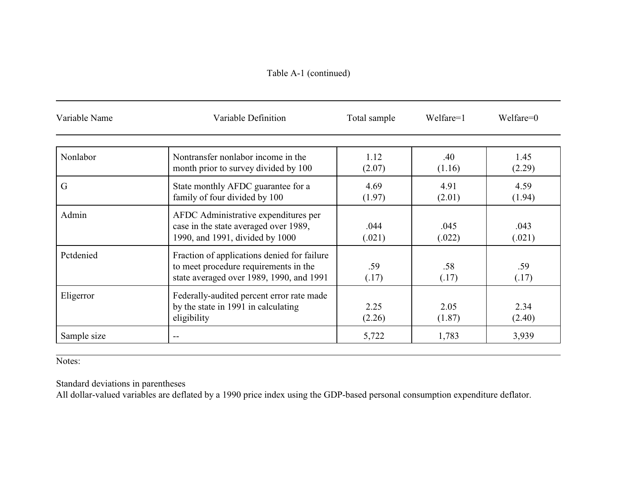| Variable Name | Variable Definition                                                                                                              | Total sample   | $Welfare=1$    | $Welfare=0$    |
|---------------|----------------------------------------------------------------------------------------------------------------------------------|----------------|----------------|----------------|
| Nonlabor      | Nontransfer nonlabor income in the<br>month prior to survey divided by 100                                                       | 1.12<br>(2.07) | .40<br>(1.16)  | 1.45<br>(2.29) |
| G             | State monthly AFDC guarantee for a<br>family of four divided by 100                                                              | 4.69<br>(1.97) | 4.91<br>(2.01) | 4.59<br>(1.94) |
| Admin         | AFDC Administrative expenditures per<br>case in the state averaged over 1989,<br>1990, and 1991, divided by 1000                 | .044<br>(.021) | .045<br>(.022) | .043<br>(.021) |
| Pctdenied     | Fraction of applications denied for failure<br>to meet procedure requirements in the<br>state averaged over 1989, 1990, and 1991 | .59<br>(.17)   | .58<br>(.17)   | .59<br>(.17)   |
| Eligerror     | Federally-audited percent error rate made<br>by the state in 1991 in calculating<br>eligibility                                  | 2.25<br>(2.26) | 2.05<br>(1.87) | 2.34<br>(2.40) |
| Sample size   | $\qquad \qquad -$                                                                                                                | 5,722          | 1,783          | 3,939          |

Notes:

Standard deviations in parentheses

All dollar-valued variables are deflated by a 1990 price index using the GDP-based personal consumption expenditure deflator.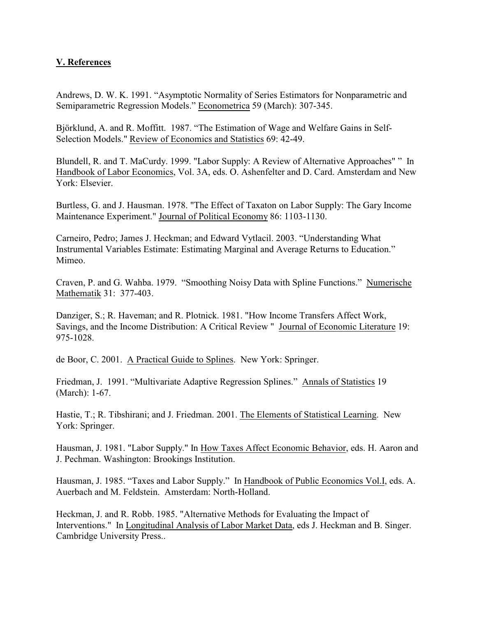### **V. References**

Andrews, D. W. K. 1991. "Asymptotic Normality of Series Estimators for Nonparametric and Semiparametric Regression Models." Econometrica 59 (March): 307-345.

Björklund, A. and R. Moffitt. 1987. "The Estimation of Wage and Welfare Gains in Self-Selection Models." Review of Economics and Statistics 69: 42-49.

Blundell, R. and T. MaCurdy. 1999. "Labor Supply: A Review of Alternative Approaches" " In Handbook of Labor Economics, Vol. 3A, eds. O. Ashenfelter and D. Card. Amsterdam and New York: Elsevier.

Burtless, G. and J. Hausman. 1978. "The Effect of Taxaton on Labor Supply: The Gary Income Maintenance Experiment." Journal of Political Economy 86: 1103-1130.

Carneiro, Pedro; James J. Heckman; and Edward Vytlacil. 2003. "Understanding What Instrumental Variables Estimate: Estimating Marginal and Average Returns to Education." Mimeo.

Craven, P. and G. Wahba. 1979. "Smoothing Noisy Data with Spline Functions." Numerische Mathematik 31: 377-403.

Danziger, S.; R. Haveman; and R. Plotnick. 1981. "How Income Transfers Affect Work, Savings, and the Income Distribution: A Critical Review " Journal of Economic Literature 19: 975-1028.

de Boor, C. 2001. A Practical Guide to Splines. New York: Springer.

Friedman, J. 1991. "Multivariate Adaptive Regression Splines." Annals of Statistics 19 (March): 1-67.

Hastie, T.; R. Tibshirani; and J. Friedman. 2001. The Elements of Statistical Learning. New York: Springer.

Hausman, J. 1981. "Labor Supply." In How Taxes Affect Economic Behavior, eds. H. Aaron and J. Pechman. Washington: Brookings Institution.

Hausman, J. 1985. "Taxes and Labor Supply." In Handbook of Public Economics Vol.I, eds. A. Auerbach and M. Feldstein. Amsterdam: North-Holland.

Heckman, J. and R. Robb. 1985. "Alternative Methods for Evaluating the Impact of Interventions." In Longitudinal Analysis of Labor Market Data, eds J. Heckman and B. Singer. Cambridge University Press..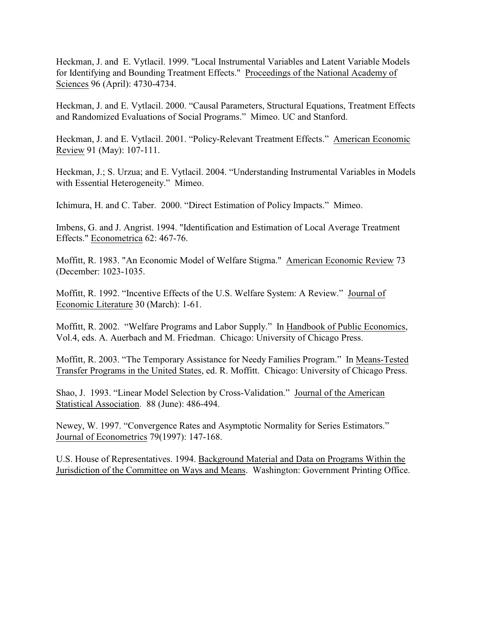Heckman, J. and E. Vytlacil. 1999. "Local Instrumental Variables and Latent Variable Models for Identifying and Bounding Treatment Effects." Proceedings of the National Academy of Sciences 96 (April): 4730-4734.

Heckman, J. and E. Vytlacil. 2000. "Causal Parameters, Structural Equations, Treatment Effects and Randomized Evaluations of Social Programs." Mimeo. UC and Stanford.

Heckman, J. and E. Vytlacil. 2001. "Policy-Relevant Treatment Effects." American Economic Review 91 (May): 107-111.

Heckman, J.; S. Urzua; and E. Vytlacil. 2004. "Understanding Instrumental Variables in Models with Essential Heterogeneity." Mimeo.

Ichimura, H. and C. Taber. 2000. "Direct Estimation of Policy Impacts." Mimeo.

Imbens, G. and J. Angrist. 1994. "Identification and Estimation of Local Average Treatment Effects." Econometrica 62: 467-76.

Moffitt, R. 1983. "An Economic Model of Welfare Stigma." American Economic Review 73 (December: 1023-1035.

Moffitt, R. 1992. "Incentive Effects of the U.S. Welfare System: A Review." Journal of Economic Literature 30 (March): 1-61.

Moffitt, R. 2002. "Welfare Programs and Labor Supply." In Handbook of Public Economics, Vol.4, eds. A. Auerbach and M. Friedman. Chicago: University of Chicago Press.

Moffitt, R. 2003. "The Temporary Assistance for Needy Families Program." In Means-Tested Transfer Programs in the United States, ed. R. Moffitt. Chicago: University of Chicago Press.

Shao, J. 1993. "Linear Model Selection by Cross-Validation." Journal of the American Statistical Association. 88 (June): 486-494.

Newey, W. 1997. "Convergence Rates and Asymptotic Normality for Series Estimators." Journal of Econometrics 79(1997): 147-168.

U.S. House of Representatives. 1994. Background Material and Data on Programs Within the Jurisdiction of the Committee on Ways and Means. Washington: Government Printing Office.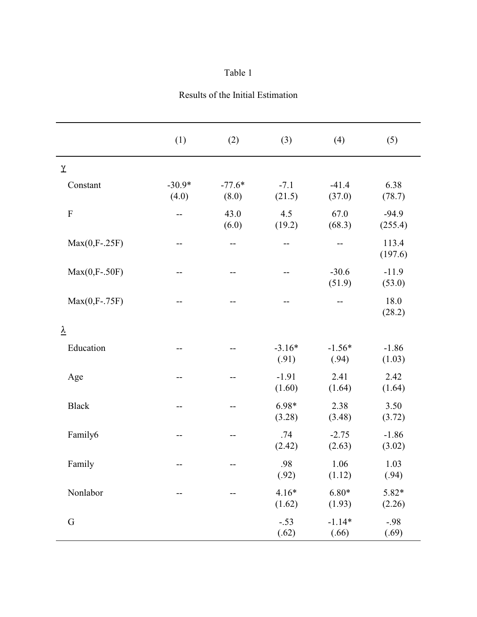# Table 1

| <b>Results of the Initial Estimation</b> |  |
|------------------------------------------|--|
|------------------------------------------|--|

|                           | (1)               | (2)               | (3)               | (4)               | (5)                |
|---------------------------|-------------------|-------------------|-------------------|-------------------|--------------------|
| $\Upsilon$                |                   |                   |                   |                   |                    |
| Constant                  | $-30.9*$<br>(4.0) | $-77.6*$<br>(8.0) | $-7.1$<br>(21.5)  | $-41.4$<br>(37.0) | 6.38<br>(78.7)     |
| $\boldsymbol{\mathrm{F}}$ |                   | 43.0<br>(6.0)     | 4.5<br>(19.2)     | 67.0<br>(68.3)    | $-94.9$<br>(255.4) |
| $Max(0, F-.25F)$          |                   | $- -$             |                   |                   | 113.4<br>(197.6)   |
| $Max(0, F-.50F)$          |                   |                   |                   | $-30.6$<br>(51.9) | $-11.9$<br>(53.0)  |
| $Max(0, F-.75F)$          |                   | --                |                   | $-$               | 18.0<br>(28.2)     |
| $\lambda$                 |                   |                   |                   |                   |                    |
| Education                 |                   |                   | $-3.16*$<br>(.91) | $-1.56*$<br>(.94) | $-1.86$<br>(1.03)  |
| Age                       |                   | --                | $-1.91$<br>(1.60) | 2.41<br>(1.64)    | 2.42<br>(1.64)     |
| <b>Black</b>              |                   |                   | $6.98*$<br>(3.28) | 2.38<br>(3.48)    | 3.50<br>(3.72)     |
| Family6                   |                   |                   | .74<br>(2.42)     | $-2.75$<br>(2.63) | $-1.86$<br>(3.02)  |
| Family                    | --                |                   | .98<br>(.92)      | 1.06<br>(1.12)    | 1.03<br>(.94)      |
| Nonlabor                  |                   |                   | $4.16*$<br>(1.62) | $6.80*$<br>(1.93) | $5.82*$<br>(2.26)  |
| G                         |                   |                   | $-.53$<br>(.62)   | $-1.14*$<br>(.66) | $-.98$<br>(.69)    |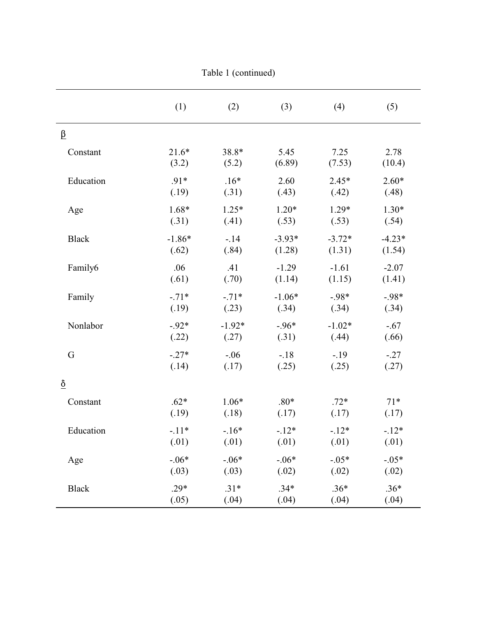|                      | (1)      | (2)      | (3)      | (4)      | (5)      |
|----------------------|----------|----------|----------|----------|----------|
| $\underline{\beta}$  |          |          |          |          |          |
| Constant             | $21.6*$  | 38.8*    | 5.45     | 7.25     | 2.78     |
|                      | (3.2)    | (5.2)    | (6.89)   | (7.53)   | (10.4)   |
| Education            | $.91*$   | $.16*$   | 2.60     | $2.45*$  | $2.60*$  |
|                      | (.19)    | (.31)    | (.43)    | (.42)    | (.48)    |
| Age                  | $1.68*$  | $1.25*$  | $1.20*$  | $1.29*$  | $1.30*$  |
|                      | (.31)    | (.41)    | (.53)    | (.53)    | (.54)    |
| <b>Black</b>         | $-1.86*$ | $-.14$   | $-3.93*$ | $-3.72*$ | $-4.23*$ |
|                      | (.62)    | (.84)    | (1.28)   | (1.31)   | (1.54)   |
| Family6              | .06      | .41      | $-1.29$  | $-1.61$  | $-2.07$  |
|                      | (.61)    | (.70)    | (1.14)   | (1.15)   | (1.41)   |
| Family               | $-.71*$  | $-.71*$  | $-1.06*$ | $-.98*$  | $-.98*$  |
|                      | (.19)    | (.23)    | (.34)    | (.34)    | (.34)    |
| Nonlabor             | $-.92*$  | $-1.92*$ | $-.96*$  | $-1.02*$ | $-.67$   |
|                      | (.22)    | (.27)    | (.31)    | (.44)    | (.66)    |
| G                    | $-.27*$  | $-.06$   | $-.18$   | $-.19$   | $-.27$   |
|                      | (.14)    | (.17)    | (.25)    | (.25)    | (.27)    |
| $\underline{\delta}$ |          |          |          |          |          |
| Constant             | $.62*$   | $1.06*$  | $.80*$   | $.72*$   | $71*$    |
|                      | (.19)    | (.18)    | (.17)    | (.17)    | (.17)    |
| Education            | $-.11*$  | $-.16*$  | $-.12*$  | $-.12*$  | $-.12*$  |
|                      | (.01)    | (.01)    | (.01)    | (.01)    | (.01)    |
| Age                  | $-.06*$  | $-.06*$  | $-.06*$  | $-.05*$  | $-.05*$  |
|                      | (.03)    | (.03)    | (.02)    | (.02)    | (.02)    |
| <b>Black</b>         | $.29*$   | $.31*$   | $.34*$   | $.36*$   | $.36*$   |
|                      | (.05)    | (.04)    | (.04)    | (.04)    | (.04)    |

Table 1 (continued)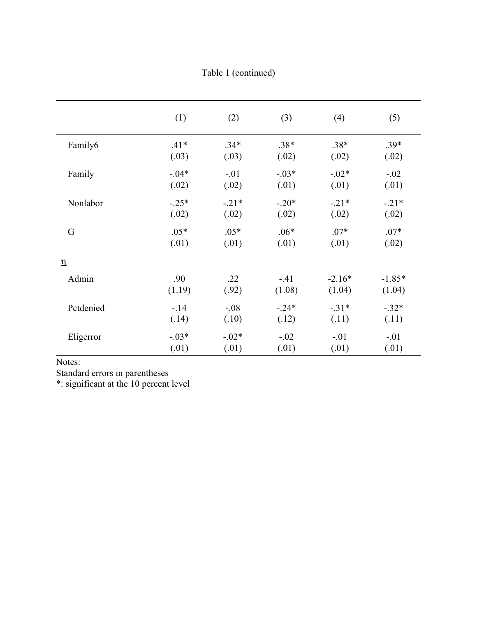|             | (1)     | (2)     | (3)     | (4)      | (5)      |
|-------------|---------|---------|---------|----------|----------|
| Family6     | $.41*$  | $.34*$  | $.38*$  | $.38*$   | $.39*$   |
|             | (.03)   | (.03)   | (.02)   | (.02)    | (.02)    |
| Family      | $-.04*$ | $-.01$  | $-.03*$ | $-.02*$  | $-.02$   |
|             | (.02)   | (.02)   | (.01)   | (.01)    | (.01)    |
| Nonlabor    | $-.25*$ | $-.21*$ | $-.20*$ | $-.21*$  | $-.21*$  |
|             | (.02)   | (.02)   | (.02)   | (.02)    | (.02)    |
| G           | $.05*$  | $.05*$  | $.06*$  | $.07*$   | $.07*$   |
|             | (.01)   | (.01)   | (.01)   | (.01)    | (.02)    |
| $\mathbf n$ |         |         |         |          |          |
| Admin       | .90     | .22     | $-.41$  | $-2.16*$ | $-1.85*$ |
|             | (1.19)  | (.92)   | (1.08)  | (1.04)   | (1.04)   |
| Pctdenied   | $-.14$  | $-.08$  | $-.24*$ | $-.31*$  | $-.32*$  |
|             | (.14)   | (.10)   | (.12)   | (.11)    | (.11)    |
| Eligerror   | $-.03*$ | $-.02*$ | $-.02$  | $-.01$   | $-.01$   |
|             | (.01)   | (.01)   | (.01)   | (.01)    | (.01)    |

Table 1 (continued)

Notes:

Standard errors in parentheses

\*: significant at the 10 percent level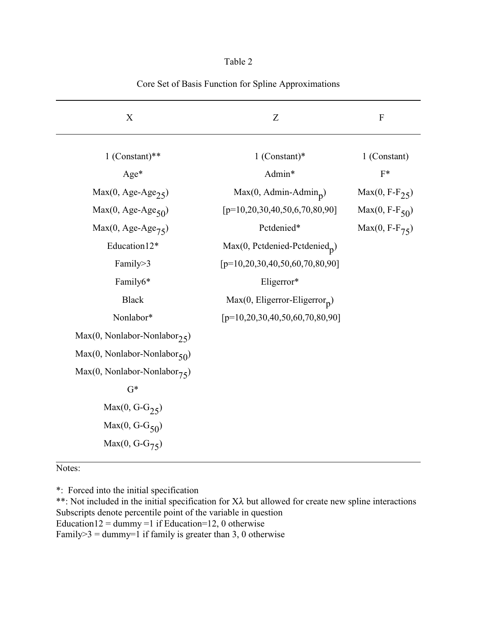### Table 2

| $\mathbf X$                      | Z                                        | $\mathbf F$         |
|----------------------------------|------------------------------------------|---------------------|
| $1$ (Constant)**                 | $1$ (Constant)*                          | 1 (Constant)        |
| $Age*$                           | Admin*                                   | $F^*$               |
| $Max(0, Age-Age_{25})$           | $Max(0, Admin-Adminp)$                   | $Max(0, F-F25)$     |
| $Max(0, Age-Age_{50})$           | $[p=10, 20, 30, 40, 50, 6, 70, 80, 90]$  | Max $(0, F-F_{50})$ |
| $Max(0, Age-Age_{75})$           | Pctdenied*                               | $Max(0, F-F_{75})$  |
| Education12*                     | $Max(0, Pctdenied-Pctdeniedp)$           |                     |
| Family>3                         | $[p=10, 20, 30, 40, 50, 60, 70, 80, 90]$ |                     |
| Family6*                         | Eligerror*                               |                     |
| <b>Black</b>                     | $Max(0, Eligerror-Eligerrorp)$           |                     |
| Nonlabor*                        | $[p=10, 20, 30, 40, 50, 60, 70, 80, 90]$ |                     |
| $Max(0, Nonlabor-Nonlabor_{25})$ |                                          |                     |
| $Max(0, Nonlabor-Nonlabor50)$    |                                          |                     |
| $Max(0, Nonlabor-Nonlabor_{75})$ |                                          |                     |
| $G^*$                            |                                          |                     |
| $Max(0, G-G_{25})$               |                                          |                     |
| $Max(0, G-G_{50})$               |                                          |                     |
| $Max(0, G-G_{75})$               |                                          |                     |
|                                  |                                          |                     |

Core Set of Basis Function for Spline Approximations

Notes:

\*: Forced into the initial specification

\*\*: Not included in the initial specification for  $X\lambda$  but allowed for create new spline interactions Subscripts denote percentile point of the variable in question Education12 = dummy =1 if Education=12, 0 otherwise

Family  $>3$  = dummy = 1 if family is greater than 3, 0 otherwise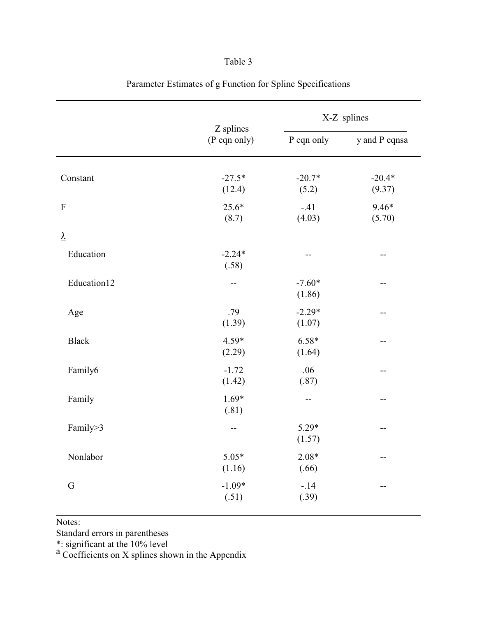## Table 3

|                           |                           |                    | X-Z splines        |
|---------------------------|---------------------------|--------------------|--------------------|
|                           | Z splines<br>(P eqn only) | P eqn only         | y and P eqnsa      |
| Constant                  | $-27.5*$<br>(12.4)        | $-20.7*$<br>(5.2)  | $-20.4*$<br>(9.37) |
| $\boldsymbol{\mathrm{F}}$ | $25.6*$<br>(8.7)          | $-.41$<br>(4.03)   | $9.46*$<br>(5.70)  |
| $\overline{\lambda}$      |                           |                    |                    |
| Education                 | $-2.24*$<br>(.58)         | $-$                | --                 |
| Education12               | $\overline{\phantom{m}}$  | $-7.60*$<br>(1.86) | --                 |
| Age                       | .79<br>(1.39)             | $-2.29*$<br>(1.07) | --                 |
| <b>Black</b>              | $4.59*$<br>(2.29)         | $6.58*$<br>(1.64)  | --                 |
| Family6                   | $-1.72$<br>(1.42)         | .06<br>(.87)       | --                 |
| Family                    | $1.69*$<br>(.81)          | --                 | $\qquad \qquad -$  |
| Family>3                  | $\overline{a}$            | $5.29*$<br>(1.57)  | --                 |
| Nonlabor                  | $5.05*$<br>(1.16)         | $2.08*$<br>(.66)   | $-$                |
| G                         | $-1.09*$<br>(.51)         | $-.14$<br>(.39)    | --                 |

Parameter Estimates of g Function for Spline Specifications

Notes:

Standard errors in parentheses

\*: significant at the 10% level

 $a^2$  Coefficients on X splines shown in the Appendix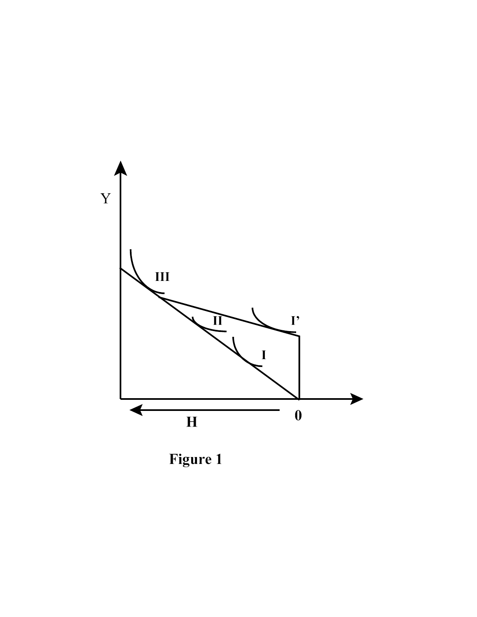

Figure 1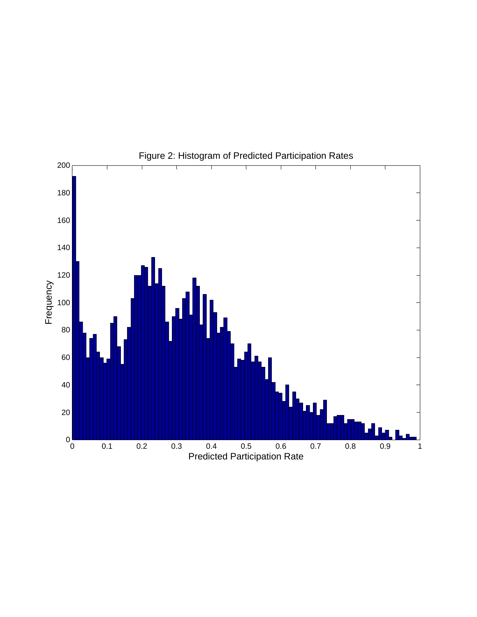

Figure 2: Histogram of Predicted Participation Rates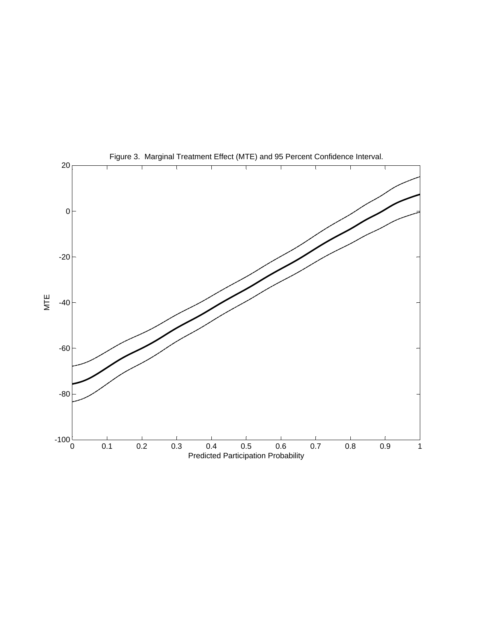